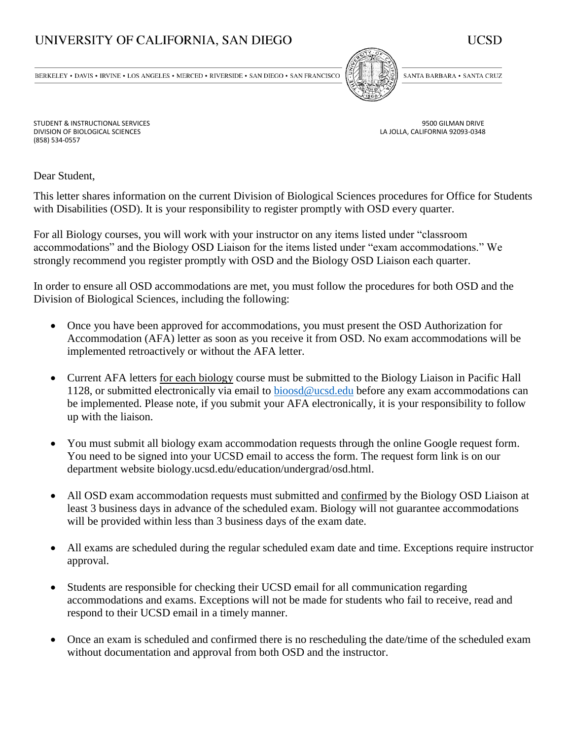## UNIVERSITY OF CALIFORNIA, SAN DIEGO



 $\texttt{BERKELEY}\bullet$  DAVIS  $\bullet$  IRVINE  $\bullet$  LOS ANGELES  $\bullet$  MERCED  $\bullet$  RIVERSIDE  $\bullet$  SAN DIEGO  $\bullet$  SAN FRANCISCO



SANTA BARBARA . SANTA CRUZ

LA JOLLA, CALIFORNIA 92093-0348

STUDENT & INSTRUCTIONAL SERVICES (STUDENT & INSTRUCTIONAL SERVICES AND RESERVENCES AND RIVE ON A SERVICES AND RIVE<br>19500 BIOLOGICAL SCIENCES (DIVISION OF BIOLOGICAL SCIENCES AND RESERVENCES AND RESERVENCE ON A SERVICE OF S (858) 534-0557

Dear Student,

This letter shares information on the current Division of Biological Sciences procedures for Office for Students with Disabilities (OSD). It is your responsibility to register promptly with OSD every quarter.

For all Biology courses, you will work with your instructor on any items listed under "classroom accommodations" and the Biology OSD Liaison for the items listed under "exam accommodations." We strongly recommend you register promptly with OSD and the Biology OSD Liaison each quarter.

In order to ensure all OSD accommodations are met, you must follow the procedures for both OSD and the Division of Biological Sciences, including the following:

- Once you have been approved for accommodations, you must present the OSD Authorization for Accommodation (AFA) letter as soon as you receive it from OSD. No exam accommodations will be implemented retroactively or without the AFA letter.
- Current AFA letters for each biology course must be submitted to the Biology Liaison in Pacific Hall 1128, or submitted electronically via email to [bioosd@ucsd.edu](mailto:bioosd@ucsd.edu) before any exam accommodations can be implemented. Please note, if you submit your AFA electronically, it is your responsibility to follow up with the liaison.
- You must submit all biology exam accommodation requests through the online Google request form. You need to be signed into your UCSD email to access the form. The request form link is on our department website biology.ucsd.edu/education/undergrad/osd.html.
- All OSD exam accommodation requests must submitted and confirmed by the Biology OSD Liaison at least 3 business days in advance of the scheduled exam. Biology will not guarantee accommodations will be provided within less than 3 business days of the exam date.
- All exams are scheduled during the regular scheduled exam date and time. Exceptions require instructor approval.
- Students are responsible for checking their UCSD email for all communication regarding accommodations and exams. Exceptions will not be made for students who fail to receive, read and respond to their UCSD email in a timely manner.
- Once an exam is scheduled and confirmed there is no rescheduling the date/time of the scheduled exam without documentation and approval from both OSD and the instructor.